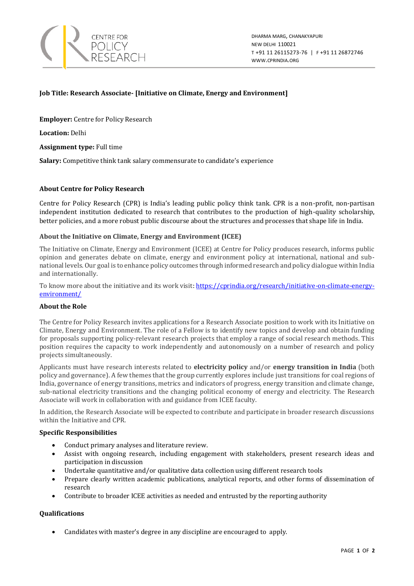

# **Job Title: Research Associate- [Initiative on Climate, Energy and Environment]**

**Employer:** Centre for Policy Research

**Location:** Delhi

**Assignment type:** Full time

**Salary:** Competitive think tank salary commensurate to candidate's experience

## **About Centre for Policy Research**

Centre for Policy Research (CPR) is India's leading public policy think tank. CPR is a non-profit, non-partisan independent institution dedicated to research that contributes to the production of high-quality scholarship, better policies, and a more robust public discourse about the structures and processes that shape life in India.

## **About the Initiative on Climate, Energy and Environment (ICEE)**

The Initiative on Climate, Energy and Environment (ICEE) at Centre for Policy produces research, informs public opinion and generates debate on climate, energy and environment policy at international, national and subnational levels. Our goal is to enhance policy outcomes through informed research and policy dialogue within India and internationally.

To know more about the initiative and its work visit: [https://cprindia.org/research/initiative-on-climate-energy](https://cprindia.org/research/initiative-on-climate-energy-environment/)[environment/](https://cprindia.org/research/initiative-on-climate-energy-environment/)

#### **About the Role**

The Centre for Policy Research invites applications for a Research Associate position to work with its Initiative on Climate, Energy and Environment. The role of a Fellow is to identify new topics and develop and obtain funding for proposals supporting policy-relevant research projects that employ a range of social research methods. This position requires the capacity to work independently and autonomously on a number of research and policy projects simultaneously.

Applicants must have research interests related to **electricity policy** and/or **energy transition in India** (both policy and governance). A few themes that the group currently explores include just transitions for coal regions of India, governance of energy transitions, metrics and indicators of progress, energy transition and climate change, sub-national electricity transitions and the changing political economy of energy and electricity. The Research Associate will work in collaboration with and guidance from ICEE faculty.

In addition, the Research Associate will be expected to contribute and participate in broader research discussions within the Initiative and CPR.

## **Specific Responsibilities**

- Conduct primary analyses and literature review.
- Assist with ongoing research, including engagement with stakeholders, present research ideas and participation in discussion
- Undertake quantitative and/or qualitative data collection using different research tools
- Prepare clearly written academic publications, analytical reports, and other forms of dissemination of research
- Contribute to broader ICEE activities as needed and entrusted by the reporting authority

## **Qualifications**

• Candidates with master's degree in any discipline are encouraged to apply.